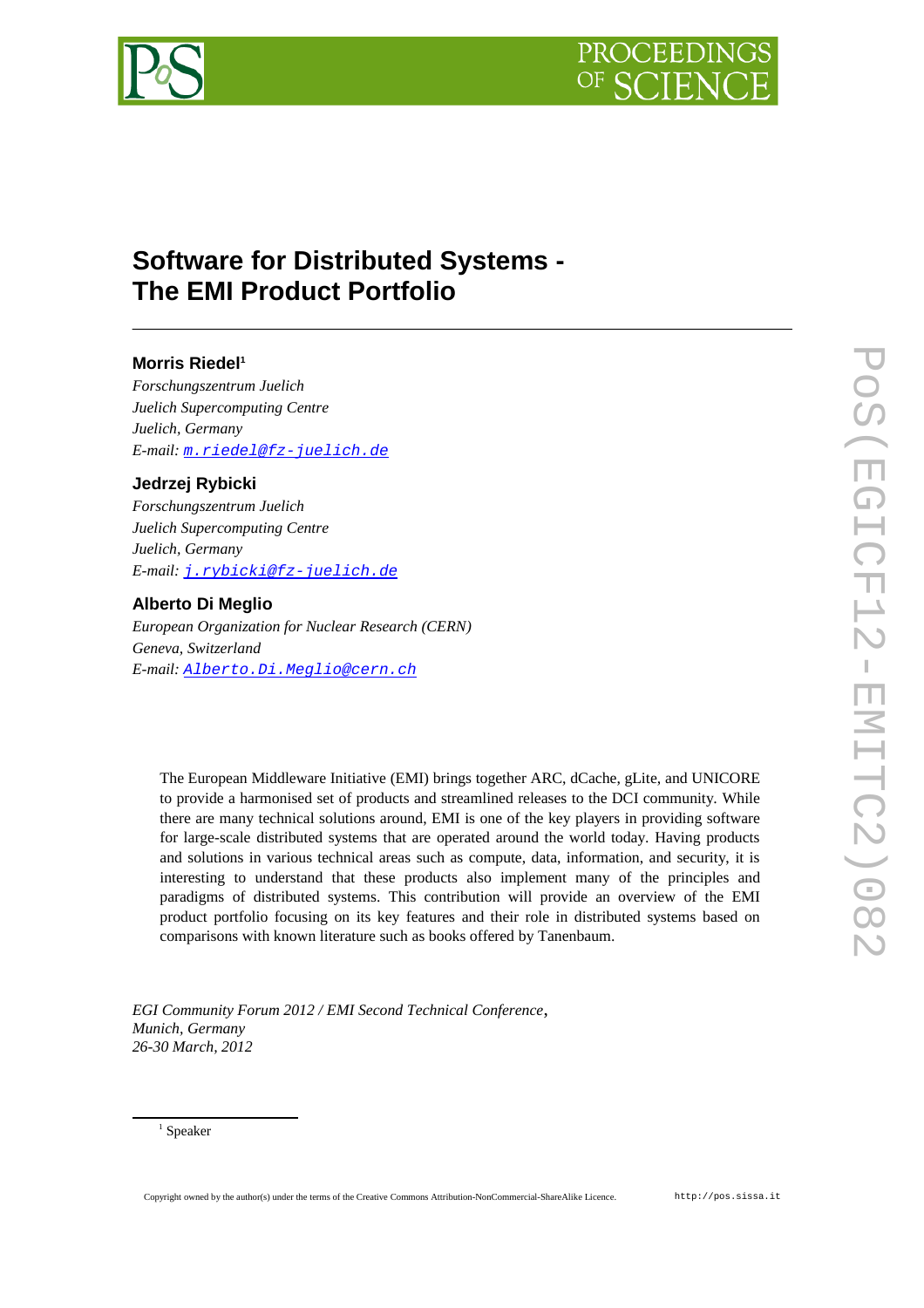



# **Software for Distributed Systems - The EMI Product Portfolio**

## **Morris Riedel[1](#page-0-0)**

*Forschungszentrum Juelich Juelich Supercomputing Centre Juelich, Germany E-mail: [m.riedel@fz-juelich.de](mailto:m.riedel@fz-juelich.de)*

## **Jedrzej Rybicki**

*Forschungszentrum Juelich Juelich Supercomputing Centre Juelich, Germany E-mail: [j.rybicki@fz-juelich.de](mailto:j.rybicki@fz-juelich.de)*

## **Alberto Di Meglio**

*European Organization for Nuclear Research (CERN) Geneva, Switzerland E-mail: [Alberto.Di.Meglio@cern.ch](mailto:Alberto.Di.Meglio@cern.ch)*

The European Middleware Initiative (EMI) brings together ARC, dCache, gLite, and UNICORE to provide a harmonised set of products and streamlined releases to the DCI community. While there are many technical solutions around, EMI is one of the key players in providing software for large-scale distributed systems that are operated around the world today. Having products and solutions in various technical areas such as compute, data, information, and security, it is interesting to understand that these products also implement many of the principles and paradigms of distributed systems. This contribution will provide an overview of the EMI product portfolio focusing on its key features and their role in distributed systems based on comparisons with known literature such as books offered by Tanenbaum.

*EGI Community Forum 2012 / EMI Second Technical Conference*, *Munich, Germany 26-30 March, 2012*

#### <span id="page-0-0"></span>1 Speaker

Copyright owned by the author(s) under the terms of the Creative Commons Attribution-NonCommercial-ShareAlike Licence. http://pos.sissa.it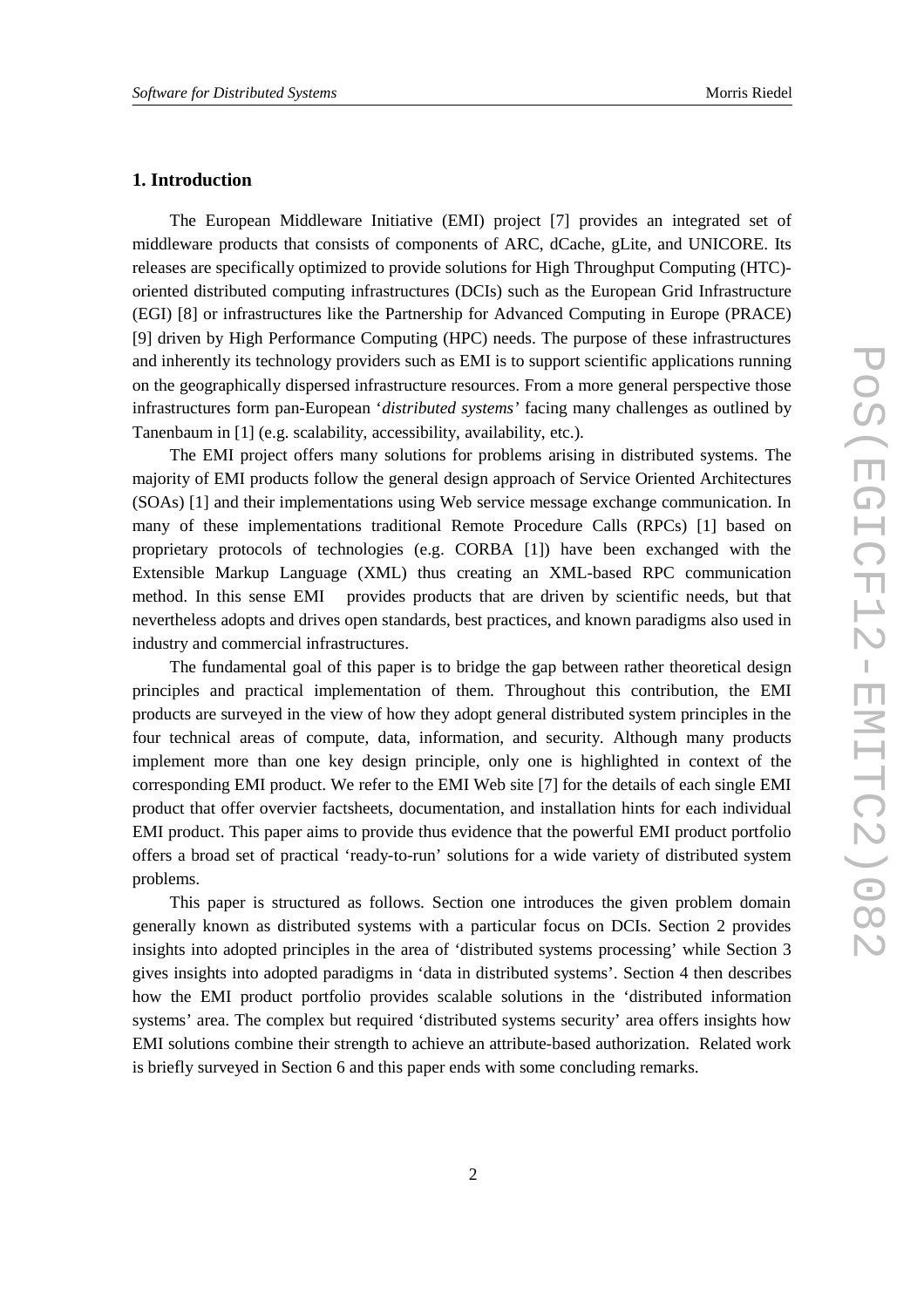## **1. Introduction**

The European Middleware Initiative (EMI) project [7] provides an integrated set of middleware products that consists of components of ARC, dCache, gLite, and UNICORE. Its releases are specifically optimized to provide solutions for High Throughput Computing (HTC) oriented distributed computing infrastructures (DCIs) such as the European Grid Infrastructure (EGI) [8] or infrastructures like the Partnership for Advanced Computing in Europe (PRACE) [9] driven by High Performance Computing (HPC) needs. The purpose of these infrastructures and inherently its technology providers such as EMI is to support scientific applications running on the geographically dispersed infrastructure resources. From a more general perspective those infrastructures form pan-European '*distributed systems'* facing many challenges as outlined by Tanenbaum in [1] (e.g. scalability, accessibility, availability, etc.).

The EMI project offers many solutions for problems arising in distributed systems. The majority of EMI products follow the general design approach of Service Oriented Architectures (SOAs) [1] and their implementations using Web service message exchange communication. In many of these implementations traditional Remote Procedure Calls (RPCs) [1] based on proprietary protocols of technologies (e.g. CORBA [1]) have been exchanged with the Extensible Markup Language (XML) thus creating an XML-based RPC communication method. In this sense EMI provides products that are driven by scientific needs, but that nevertheless adopts and drives open standards, best practices, and known paradigms also used in industry and commercial infrastructures.

The fundamental goal of this paper is to bridge the gap between rather theoretical design principles and practical implementation of them. Throughout this contribution, the EMI products are surveyed in the view of how they adopt general distributed system principles in the four technical areas of compute, data, information, and security. Although many products implement more than one key design principle, only one is highlighted in context of the corresponding EMI product. We refer to the EMI Web site [7] for the details of each single EMI product that offer overvier factsheets, documentation, and installation hints for each individual EMI product. This paper aims to provide thus evidence that the powerful EMI product portfolio offers a broad set of practical 'ready-to-run' solutions for a wide variety of distributed system problems.

This paper is structured as follows. Section one introduces the given problem domain generally known as distributed systems with a particular focus on DCIs. Section 2 provides insights into adopted principles in the area of 'distributed systems processing' while Section 3 gives insights into adopted paradigms in 'data in distributed systems'. Section 4 then describes how the EMI product portfolio provides scalable solutions in the 'distributed information systems' area. The complex but required 'distributed systems security' area offers insights how EMI solutions combine their strength to achieve an attribute-based authorization. Related work is briefly surveyed in Section 6 and this paper ends with some concluding remarks.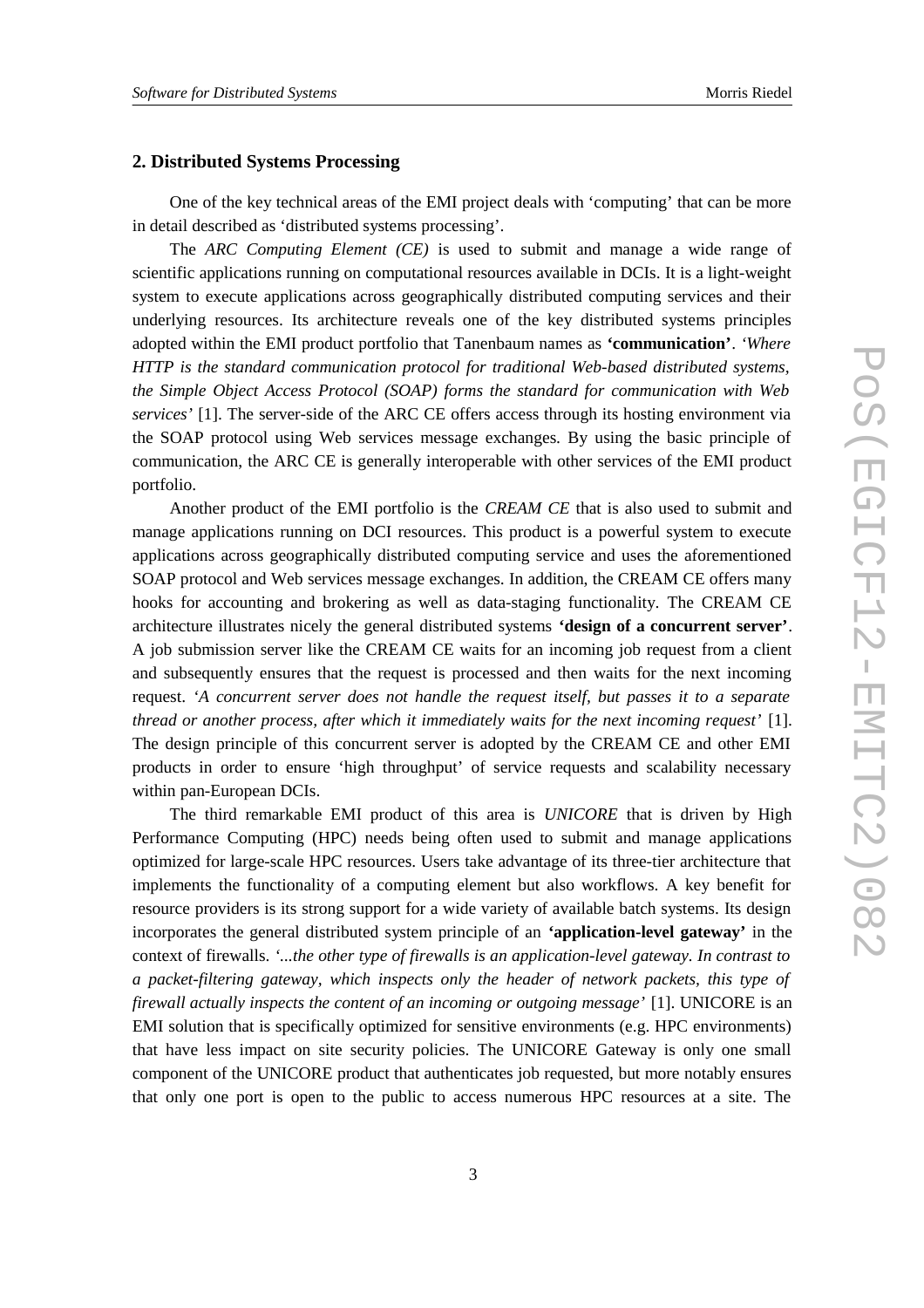## **2. Distributed Systems Processing**

One of the key technical areas of the EMI project deals with 'computing' that can be more in detail described as 'distributed systems processing'.

The *ARC Computing Element (CE)* is used to submit and manage a wide range of scientific applications running on computational resources available in DCIs. It is a light-weight system to execute applications across geographically distributed computing services and their underlying resources. Its architecture reveals one of the key distributed systems principles adopted within the EMI product portfolio that Tanenbaum names as **'communication'**. *'Where HTTP is the standard communication protocol for traditional Web-based distributed systems, the Simple Object Access Protocol (SOAP) forms the standard for communication with Web services'* [1]. The server-side of the ARC CE offers access through its hosting environment via the SOAP protocol using Web services message exchanges. By using the basic principle of communication, the ARC CE is generally interoperable with other services of the EMI product portfolio.

Another product of the EMI portfolio is the *CREAM CE* that is also used to submit and manage applications running on DCI resources. This product is a powerful system to execute applications across geographically distributed computing service and uses the aforementioned SOAP protocol and Web services message exchanges. In addition, the CREAM CE offers many hooks for accounting and brokering as well as data-staging functionality. The CREAM CE architecture illustrates nicely the general distributed systems **'design of a concurrent server'**. A job submission server like the CREAM CE waits for an incoming job request from a client and subsequently ensures that the request is processed and then waits for the next incoming request. *'A concurrent server does not handle the request itself, but passes it to a separate thread or another process, after which it immediately waits for the next incoming request'* [1]. The design principle of this concurrent server is adopted by the CREAM CE and other EMI products in order to ensure 'high throughput' of service requests and scalability necessary within pan-European DCIs.

The third remarkable EMI product of this area is *UNICORE* that is driven by High Performance Computing (HPC) needs being often used to submit and manage applications optimized for large-scale HPC resources. Users take advantage of its three-tier architecture that implements the functionality of a computing element but also workflows. A key benefit for resource providers is its strong support for a wide variety of available batch systems. Its design incorporates the general distributed system principle of an **'application-level gateway'** in the context of firewalls. *'...the other type of firewalls is an application-level gateway. In contrast to a packet-filtering gateway, which inspects only the header of network packets, this type of firewall actually inspects the content of an incoming or outgoing message'* [1]. UNICORE is an EMI solution that is specifically optimized for sensitive environments (e.g. HPC environments) that have less impact on site security policies. The UNICORE Gateway is only one small component of the UNICORE product that authenticates job requested, but more notably ensures that only one port is open to the public to access numerous HPC resources at a site. The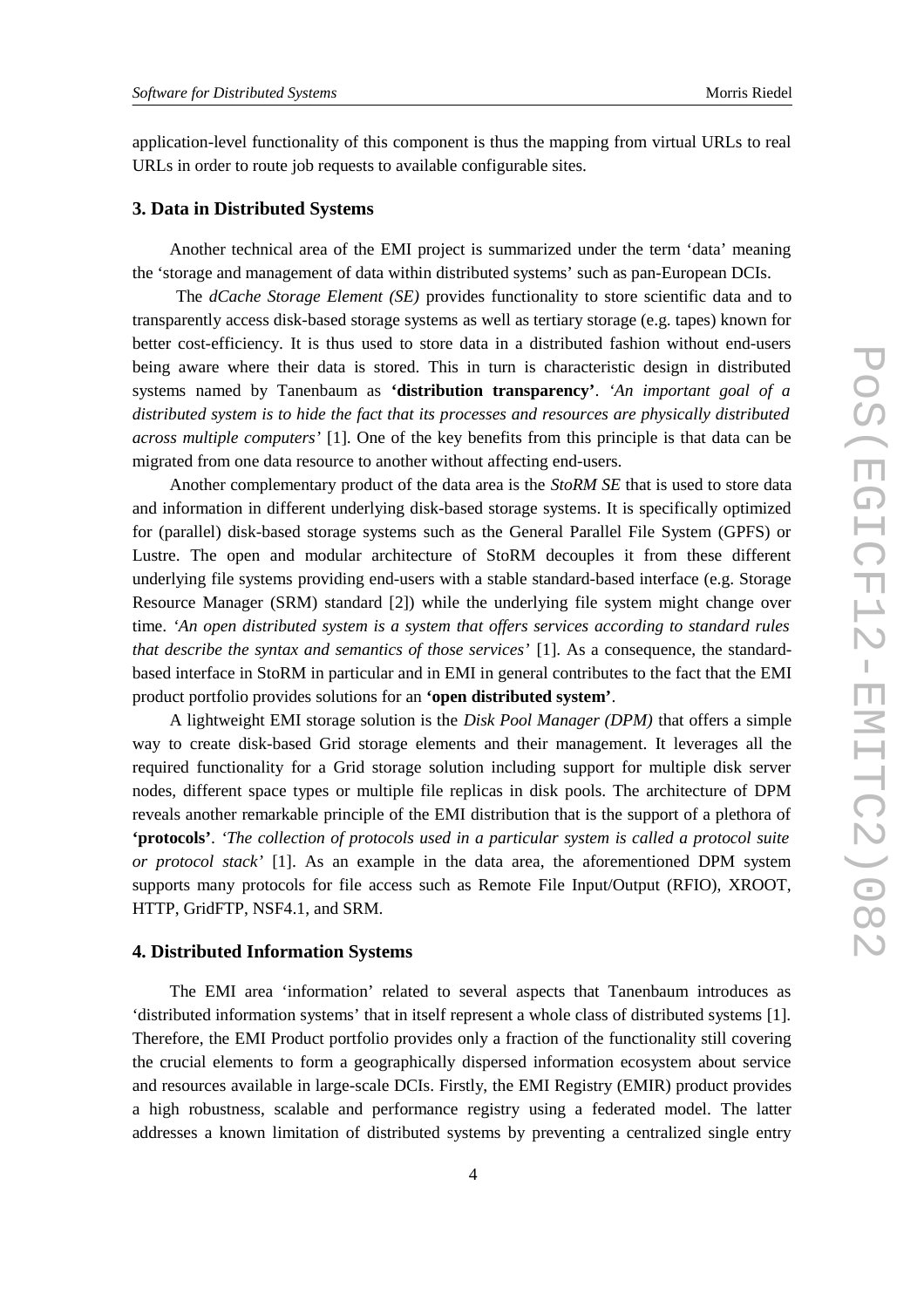application-level functionality of this component is thus the mapping from virtual URLs to real URLs in order to route job requests to available configurable sites.

### **3. Data in Distributed Systems**

Another technical area of the EMI project is summarized under the term 'data' meaning the 'storage and management of data within distributed systems' such as pan-European DCIs.

 The *dCache Storage Element (SE)* provides functionality to store scientific data and to transparently access disk-based storage systems as well as tertiary storage (e.g. tapes) known for better cost-efficiency. It is thus used to store data in a distributed fashion without end-users being aware where their data is stored. This in turn is characteristic design in distributed systems named by Tanenbaum as **'distribution transparency'**. *'An important goal of a distributed system is to hide the fact that its processes and resources are physically distributed across multiple computers'* [1]. One of the key benefits from this principle is that data can be migrated from one data resource to another without affecting end-users.

Another complementary product of the data area is the *StoRM SE* that is used to store data and information in different underlying disk-based storage systems. It is specifically optimized for (parallel) disk-based storage systems such as the General Parallel File System (GPFS) or Lustre. The open and modular architecture of StoRM decouples it from these different underlying file systems providing end-users with a stable standard-based interface (e.g. Storage Resource Manager (SRM) standard [2]) while the underlying file system might change over time. *'An open distributed system is a system that offers services according to standard rules that describe the syntax and semantics of those services'* [1]. As a consequence, the standardbased interface in StoRM in particular and in EMI in general contributes to the fact that the EMI product portfolio provides solutions for an **'open distributed system'**.

A lightweight EMI storage solution is the *Disk Pool Manager (DPM)* that offers a simple way to create disk-based Grid storage elements and their management. It leverages all the required functionality for a Grid storage solution including support for multiple disk server nodes, different space types or multiple file replicas in disk pools. The architecture of DPM reveals another remarkable principle of the EMI distribution that is the support of a plethora of **'protocols'**. *'The collection of protocols used in a particular system is called a protocol suite or protocol stack'* [1]. As an example in the data area, the aforementioned DPM system supports many protocols for file access such as Remote File Input/Output (RFIO), XROOT, HTTP, GridFTP, NSF4.1, and SRM.

## **4. Distributed Information Systems**

The EMI area 'information' related to several aspects that Tanenbaum introduces as 'distributed information systems' that in itself represent a whole class of distributed systems [1]. Therefore, the EMI Product portfolio provides only a fraction of the functionality still covering the crucial elements to form a geographically dispersed information ecosystem about service and resources available in large-scale DCIs. Firstly, the EMI Registry (EMIR) product provides a high robustness, scalable and performance registry using a federated model. The latter addresses a known limitation of distributed systems by preventing a centralized single entry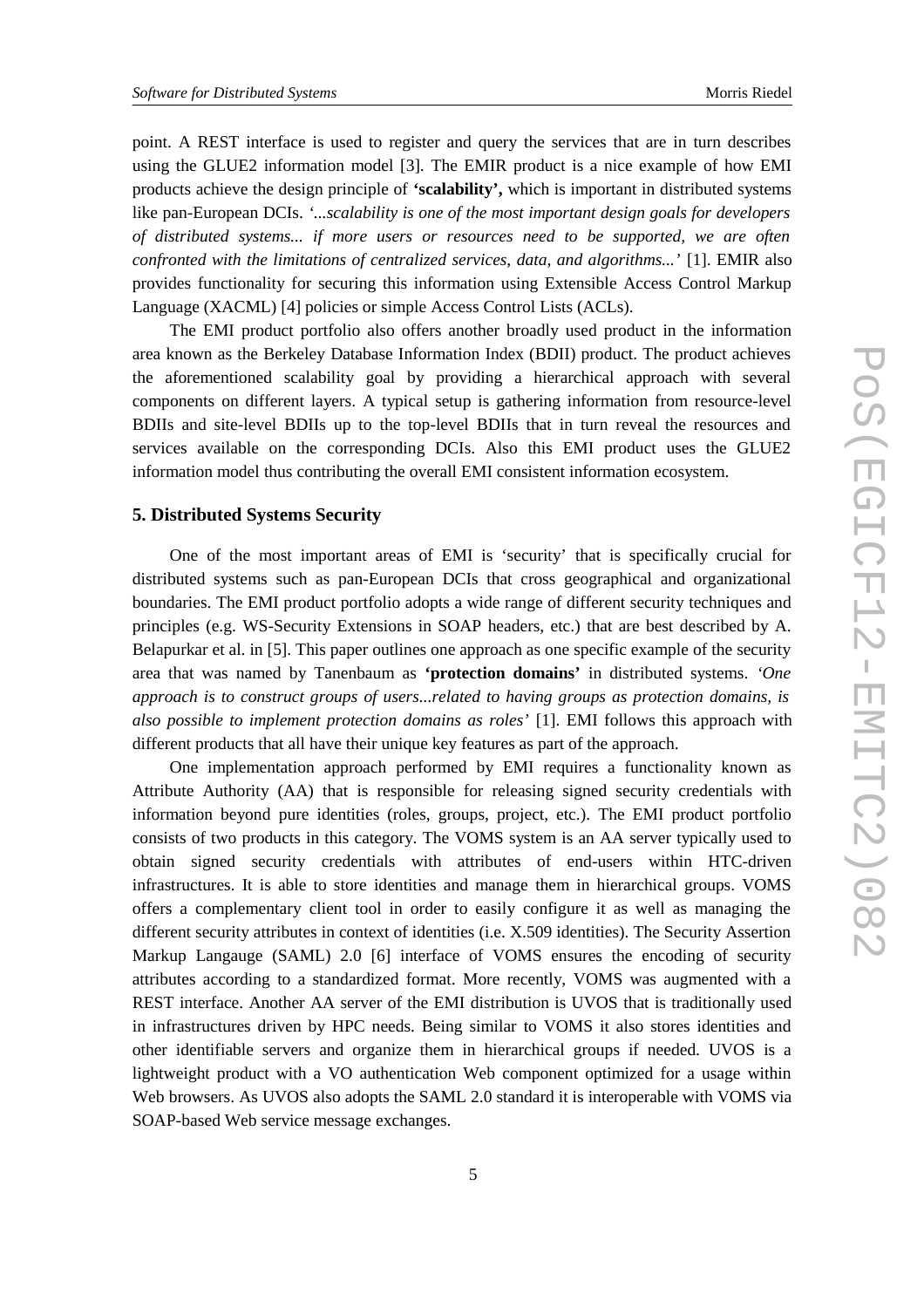point. A REST interface is used to register and query the services that are in turn describes using the GLUE2 information model [3]. The EMIR product is a nice example of how EMI products achieve the design principle of **'scalability',** which is important in distributed systems like pan-European DCIs. *'...scalability is one of the most important design goals for developers of distributed systems... if more users or resources need to be supported, we are often confronted with the limitations of centralized services, data, and algorithms...'* [1]. EMIR also provides functionality for securing this information using Extensible Access Control Markup Language (XACML) [4] policies or simple Access Control Lists (ACLs).

The EMI product portfolio also offers another broadly used product in the information area known as the Berkeley Database Information Index (BDII) product. The product achieves the aforementioned scalability goal by providing a hierarchical approach with several components on different layers. A typical setup is gathering information from resource-level BDIIs and site-level BDIIs up to the top-level BDIIs that in turn reveal the resources and services available on the corresponding DCIs. Also this EMI product uses the GLUE2 information model thus contributing the overall EMI consistent information ecosystem.

### **5. Distributed Systems Security**

One of the most important areas of EMI is 'security' that is specifically crucial for distributed systems such as pan-European DCIs that cross geographical and organizational boundaries. The EMI product portfolio adopts a wide range of different security techniques and principles (e.g. WS-Security Extensions in SOAP headers, etc.) that are best described by A. Belapurkar et al. in [5]. This paper outlines one approach as one specific example of the security area that was named by Tanenbaum as **'protection domains'** in distributed systems. *'One approach is to construct groups of users...related to having groups as protection domains, is also possible to implement protection domains as roles'* [1]. EMI follows this approach with different products that all have their unique key features as part of the approach.

One implementation approach performed by EMI requires a functionality known as Attribute Authority (AA) that is responsible for releasing signed security credentials with information beyond pure identities (roles, groups, project, etc.). The EMI product portfolio consists of two products in this category. The VOMS system is an AA server typically used to obtain signed security credentials with attributes of end-users within HTC-driven infrastructures. It is able to store identities and manage them in hierarchical groups. VOMS offers a complementary client tool in order to easily configure it as well as managing the different security attributes in context of identities (i.e. X.509 identities). The Security Assertion Markup Langauge (SAML) 2.0 [6] interface of VOMS ensures the encoding of security attributes according to a standardized format. More recently, VOMS was augmented with a REST interface. Another AA server of the EMI distribution is UVOS that is traditionally used in infrastructures driven by HPC needs. Being similar to VOMS it also stores identities and other identifiable servers and organize them in hierarchical groups if needed. UVOS is a lightweight product with a VO authentication Web component optimized for a usage within Web browsers. As UVOS also adopts the SAML 2.0 standard it is interoperable with VOMS via SOAP-based Web service message exchanges.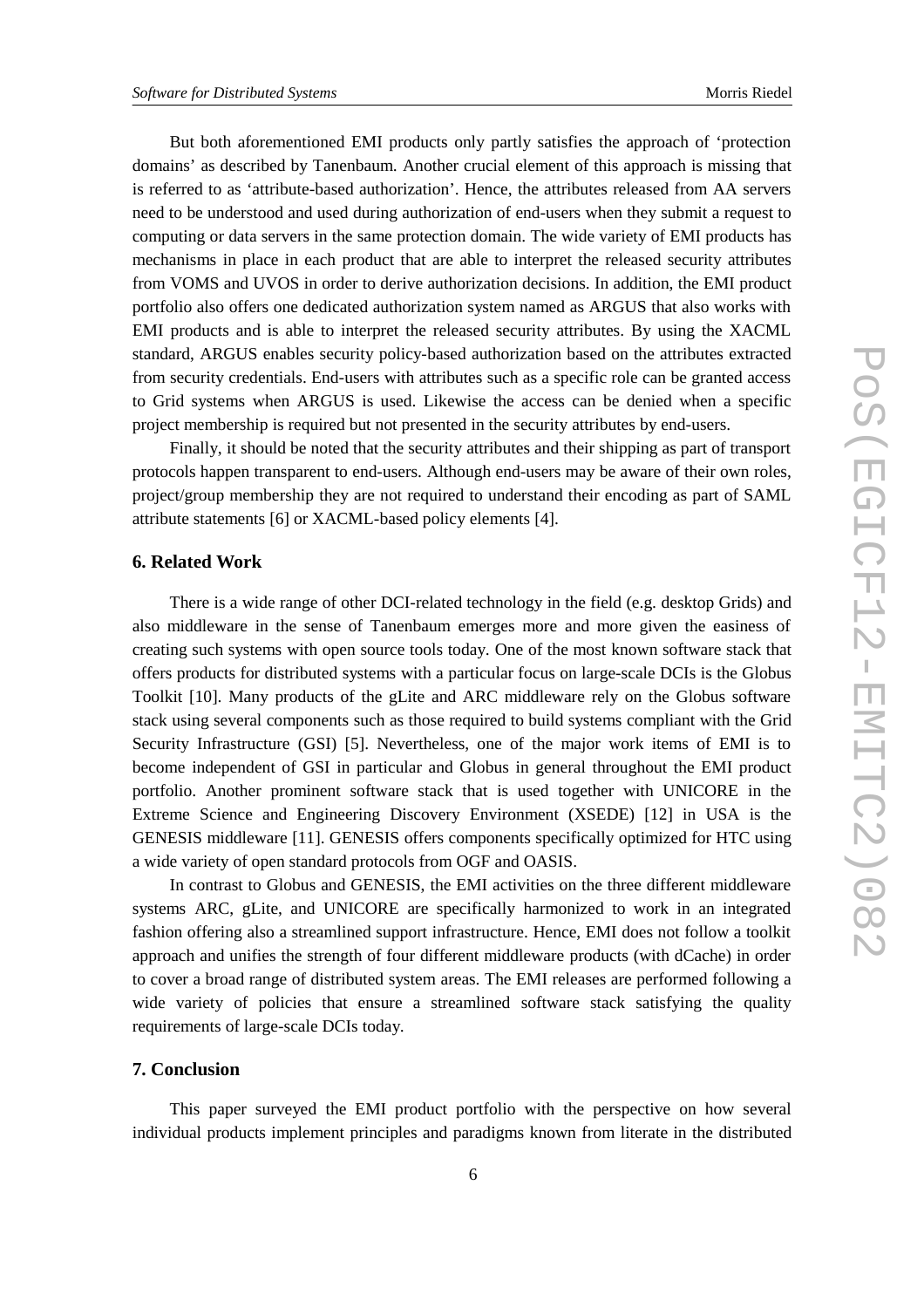But both aforementioned EMI products only partly satisfies the approach of 'protection domains' as described by Tanenbaum. Another crucial element of this approach is missing that is referred to as 'attribute-based authorization'. Hence, the attributes released from AA servers need to be understood and used during authorization of end-users when they submit a request to computing or data servers in the same protection domain. The wide variety of EMI products has mechanisms in place in each product that are able to interpret the released security attributes from VOMS and UVOS in order to derive authorization decisions. In addition, the EMI product portfolio also offers one dedicated authorization system named as ARGUS that also works with EMI products and is able to interpret the released security attributes. By using the XACML standard, ARGUS enables security policy-based authorization based on the attributes extracted from security credentials. End-users with attributes such as a specific role can be granted access to Grid systems when ARGUS is used. Likewise the access can be denied when a specific project membership is required but not presented in the security attributes by end-users.

Finally, it should be noted that the security attributes and their shipping as part of transport protocols happen transparent to end-users. Although end-users may be aware of their own roles, project/group membership they are not required to understand their encoding as part of SAML attribute statements [6] or XACML-based policy elements [4].

### **6. Related Work**

There is a wide range of other DCI-related technology in the field (e.g. desktop Grids) and also middleware in the sense of Tanenbaum emerges more and more given the easiness of creating such systems with open source tools today. One of the most known software stack that offers products for distributed systems with a particular focus on large-scale DCIs is the Globus Toolkit [10]. Many products of the gLite and ARC middleware rely on the Globus software stack using several components such as those required to build systems compliant with the Grid Security Infrastructure (GSI) [5]. Nevertheless, one of the major work items of EMI is to become independent of GSI in particular and Globus in general throughout the EMI product portfolio. Another prominent software stack that is used together with UNICORE in the Extreme Science and Engineering Discovery Environment (XSEDE) [12] in USA is the GENESIS middleware [11]. GENESIS offers components specifically optimized for HTC using a wide variety of open standard protocols from OGF and OASIS.

In contrast to Globus and GENESIS, the EMI activities on the three different middleware systems ARC, gLite, and UNICORE are specifically harmonized to work in an integrated fashion offering also a streamlined support infrastructure. Hence, EMI does not follow a toolkit approach and unifies the strength of four different middleware products (with dCache) in order to cover a broad range of distributed system areas. The EMI releases are performed following a wide variety of policies that ensure a streamlined software stack satisfying the quality requirements of large-scale DCIs today.

## **7. Conclusion**

This paper surveyed the EMI product portfolio with the perspective on how several individual products implement principles and paradigms known from literate in the distributed